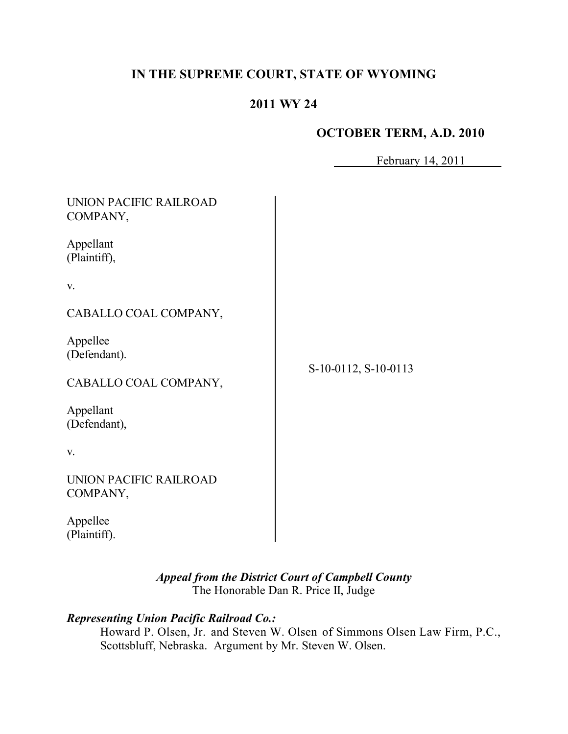# **IN THE SUPREME COURT, STATE OF WYOMING**

# **2011 WY 24**

#### **OCTOBER TERM, A.D. 2010**

February 14, 2011

| UNION PACIFIC RAILROAD<br>COMPANY, |                      |
|------------------------------------|----------------------|
| Appellant<br>(Plaintiff),          |                      |
| V.                                 |                      |
| CABALLO COAL COMPANY,              |                      |
| Appellee<br>(Defendant).           | S-10-0112, S-10-0113 |
| CABALLO COAL COMPANY,              |                      |
| Appellant<br>(Defendant),          |                      |
| V.                                 |                      |
| UNION PACIFIC RAILROAD<br>COMPANY, |                      |
| Appellee<br>(Plaintiff).           |                      |

*Appeal from the District Court of Campbell County* The Honorable Dan R. Price II, Judge

## *Representing Union Pacific Railroad Co.:*

Howard P. Olsen, Jr. and Steven W. Olsen of Simmons Olsen Law Firm, P.C., Scottsbluff, Nebraska. Argument by Mr. Steven W. Olsen.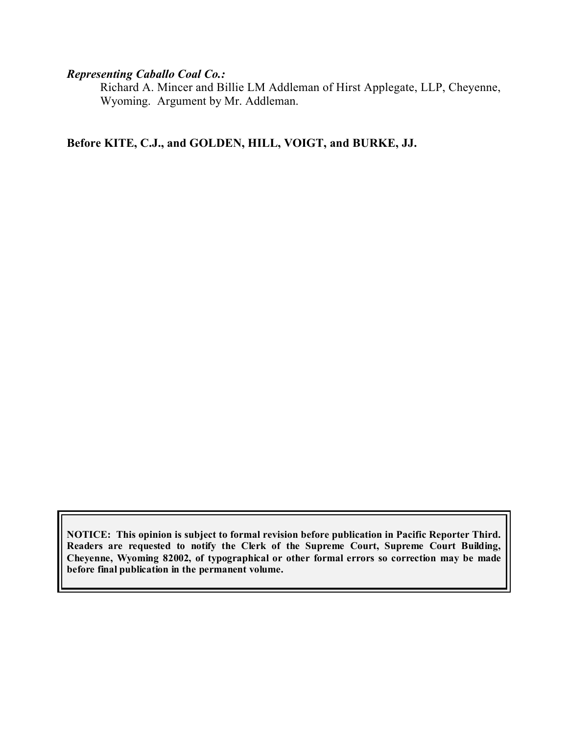#### *Representing Caballo Coal Co.:*

Richard A. Mincer and Billie LM Addleman of Hirst Applegate, LLP, Cheyenne, Wyoming. Argument by Mr. Addleman.

**Before KITE, C.J., and GOLDEN, HILL, VOIGT, and BURKE, JJ.**

**NOTICE: This opinion is subject to formal revision before publication in Pacific Reporter Third. Readers are requested to notify the Clerk of the Supreme Court, Supreme Court Building, Cheyenne, Wyoming 82002, of typographical or other formal errors so correction may be made before final publication in the permanent volume.**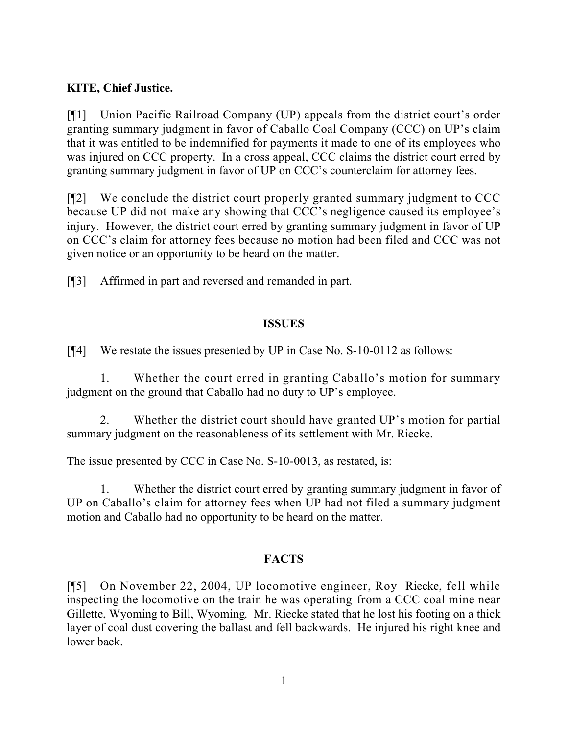## **KITE, Chief Justice.**

[¶1] Union Pacific Railroad Company (UP) appeals from the district court's order granting summary judgment in favor of Caballo Coal Company (CCC) on UP's claim that it was entitled to be indemnified for payments it made to one of its employees who was injured on CCC property. In a cross appeal, CCC claims the district court erred by granting summary judgment in favor of UP on CCC's counterclaim for attorney fees.

[¶2] We conclude the district court properly granted summary judgment to CCC because UP did not make any showing that CCC's negligence caused its employee's injury. However, the district court erred by granting summary judgment in favor of UP on CCC's claim for attorney fees because no motion had been filed and CCC was not given notice or an opportunity to be heard on the matter.

[¶3] Affirmed in part and reversed and remanded in part.

#### **ISSUES**

[¶4] We restate the issues presented by UP in Case No. S-10-0112 as follows:

1. Whether the court erred in granting Caballo's motion for summary judgment on the ground that Caballo had no duty to UP's employee.

2. Whether the district court should have granted UP's motion for partial summary judgment on the reasonableness of its settlement with Mr. Riecke.

The issue presented by CCC in Case No. S-10-0013, as restated, is:

1. Whether the district court erred by granting summary judgment in favor of UP on Caballo's claim for attorney fees when UP had not filed a summary judgment motion and Caballo had no opportunity to be heard on the matter.

#### **FACTS**

[¶5] On November 22, 2004, UP locomotive engineer, Roy Riecke, fell while inspecting the locomotive on the train he was operating from a CCC coal mine near Gillette, Wyoming to Bill, Wyoming. Mr. Riecke stated that he lost his footing on a thick layer of coal dust covering the ballast and fell backwards. He injured his right knee and lower back.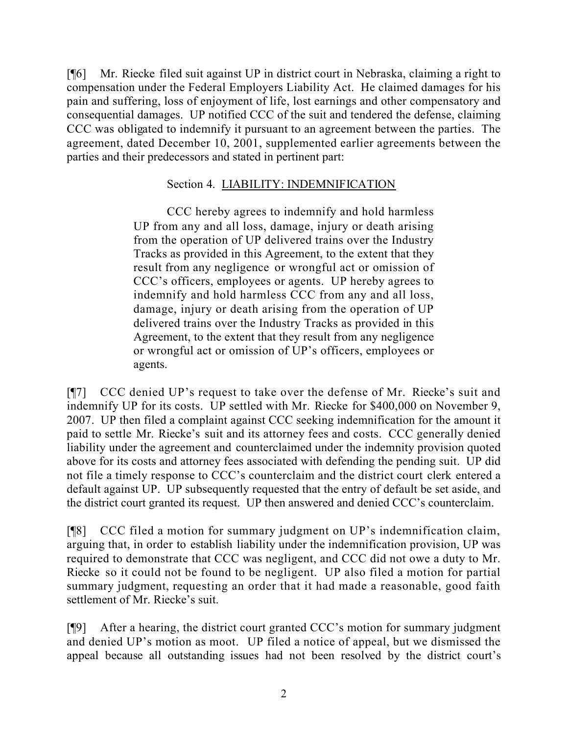[¶6] Mr. Riecke filed suit against UP in district court in Nebraska, claiming a right to compensation under the Federal Employers Liability Act. He claimed damages for his pain and suffering, loss of enjoyment of life, lost earnings and other compensatory and consequential damages. UP notified CCC of the suit and tendered the defense, claiming CCC was obligated to indemnify it pursuant to an agreement between the parties. The agreement, dated December 10, 2001, supplemented earlier agreements between the parties and their predecessors and stated in pertinent part:

## Section 4. LIABILITY: INDEMNIFICATION

CCC hereby agrees to indemnify and hold harmless UP from any and all loss, damage, injury or death arising from the operation of UP delivered trains over the Industry Tracks as provided in this Agreement, to the extent that they result from any negligence or wrongful act or omission of CCC's officers, employees or agents. UP hereby agrees to indemnify and hold harmless CCC from any and all loss, damage, injury or death arising from the operation of UP delivered trains over the Industry Tracks as provided in this Agreement, to the extent that they result from any negligence or wrongful act or omission of UP's officers, employees or agents.

[¶7] CCC denied UP's request to take over the defense of Mr. Riecke's suit and indemnify UP for its costs. UP settled with Mr. Riecke for \$400,000 on November 9, 2007. UP then filed a complaint against CCC seeking indemnification for the amount it paid to settle Mr. Riecke's suit and its attorney fees and costs. CCC generally denied liability under the agreement and counterclaimed under the indemnity provision quoted above for its costs and attorney fees associated with defending the pending suit. UP did not file a timely response to CCC's counterclaim and the district court clerk entered a default against UP. UP subsequently requested that the entry of default be set aside, and the district court granted its request. UP then answered and denied CCC's counterclaim.

[¶8] CCC filed a motion for summary judgment on UP's indemnification claim, arguing that, in order to establish liability under the indemnification provision, UP was required to demonstrate that CCC was negligent, and CCC did not owe a duty to Mr. Riecke so it could not be found to be negligent. UP also filed a motion for partial summary judgment, requesting an order that it had made a reasonable, good faith settlement of Mr. Riecke's suit.

[¶9] After a hearing, the district court granted CCC's motion for summary judgment and denied UP's motion as moot. UP filed a notice of appeal, but we dismissed the appeal because all outstanding issues had not been resolved by the district court's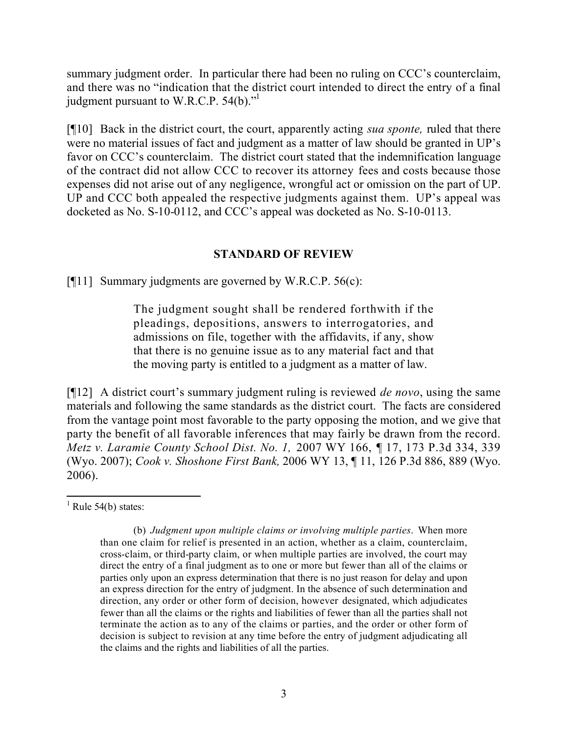summary judgment order. In particular there had been no ruling on CCC's counterclaim, and there was no "indication that the district court intended to direct the entry of a final judgment pursuant to W.R.C.P. 54(b)."

[¶10] Back in the district court, the court, apparently acting *sua sponte,* ruled that there were no material issues of fact and judgment as a matter of law should be granted in UP's favor on CCC's counterclaim. The district court stated that the indemnification language of the contract did not allow CCC to recover its attorney fees and costs because those expenses did not arise out of any negligence, wrongful act or omission on the part of UP. UP and CCC both appealed the respective judgments against them. UP's appeal was docketed as No. S-10-0112, and CCC's appeal was docketed as No. S-10-0113.

#### **STANDARD OF REVIEW**

[ $[$ [11] Summary judgments are governed by W.R.C.P. 56(c):

The judgment sought shall be rendered forthwith if the pleadings, depositions, answers to interrogatories, and admissions on file, together with the affidavits, if any, show that there is no genuine issue as to any material fact and that the moving party is entitled to a judgment as a matter of law.

[¶12] A district court's summary judgment ruling is reviewed *de novo*, using the same materials and following the same standards as the district court. The facts are considered from the vantage point most favorable to the party opposing the motion, and we give that party the benefit of all favorable inferences that may fairly be drawn from the record. *Metz v. Laramie County School Dist. No. 1,* 2007 WY 166, ¶ 17, 173 P.3d 334, 339 (Wyo. 2007); *Cook v. Shoshone First Bank,* 2006 WY 13, ¶ 11, 126 P.3d 886, 889 (Wyo. 2006).

  $<sup>1</sup>$  Rule 54(b) states:</sup>

<sup>(</sup>b) *Judgment upon multiple claims or involving multiple parties*. When more than one claim for relief is presented in an action, whether as a claim, counterclaim, cross-claim, or third-party claim, or when multiple parties are involved, the court may direct the entry of a final judgment as to one or more but fewer than all of the claims or parties only upon an express determination that there is no just reason for delay and upon an express direction for the entry of judgment. In the absence of such determination and direction, any order or other form of decision, however designated, which adjudicates fewer than all the claims or the rights and liabilities of fewer than all the parties shall not terminate the action as to any of the claims or parties, and the order or other form of decision is subject to revision at any time before the entry of judgment adjudicating all the claims and the rights and liabilities of all the parties.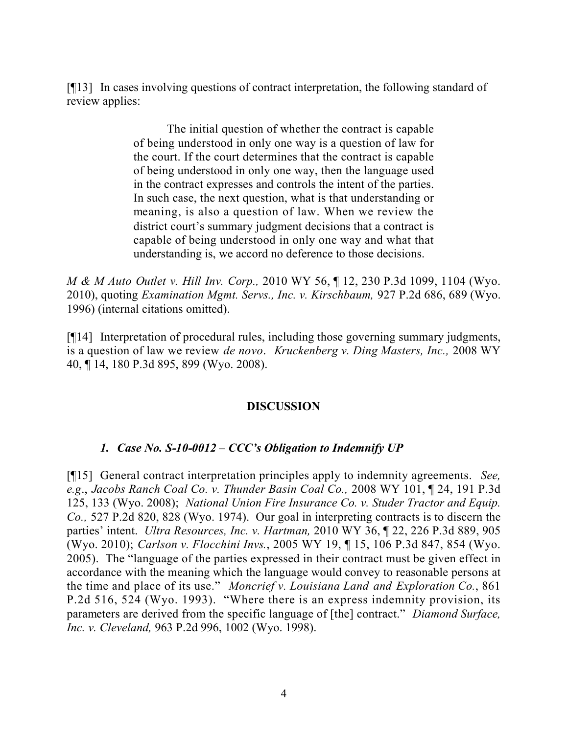[¶13] In cases involving questions of contract interpretation, the following standard of review applies:

> The initial question of whether the contract is capable of being understood in only one way is a question of law for the court. If the court determines that the contract is capable of being understood in only one way, then the language used in the contract expresses and controls the intent of the parties. In such case, the next question, what is that understanding or meaning, is also a question of law. When we review the district court's summary judgment decisions that a contract is capable of being understood in only one way and what that understanding is, we accord no deference to those decisions.

*M & M Auto Outlet v. Hill Inv. Corp.,* 2010 WY 56, ¶ 12, 230 P.3d 1099, 1104 (Wyo. 2010), quoting *Examination Mgmt. Servs., Inc. v. Kirschbaum,* 927 P.2d 686, 689 (Wyo. 1996) (internal citations omitted).

[¶14] Interpretation of procedural rules, including those governing summary judgments, is a question of law we review *de novo*. *Kruckenberg v. Ding Masters, Inc.,* 2008 WY 40, ¶ 14, 180 P.3d 895, 899 (Wyo. 2008).

#### **DISCUSSION**

#### *1. Case No. S-10-0012 – CCC's Obligation to Indemnify UP*

[¶15] General contract interpretation principles apply to indemnity agreements. *See, e.g*., *Jacobs Ranch Coal Co. v. Thunder Basin Coal Co.,* 2008 WY 101, ¶ 24, 191 P.3d 125, 133 (Wyo. 2008); *National Union Fire Insurance Co. v. Studer Tractor and Equip. Co.,* 527 P.2d 820, 828 (Wyo. 1974). Our goal in interpreting contracts is to discern the parties' intent. *Ultra Resources, Inc. v. Hartman,* 2010 WY 36, ¶ 22, 226 P.3d 889, 905 (Wyo. 2010); *Carlson v. Flocchini Invs.*, 2005 WY 19, ¶ 15, 106 P.3d 847, 854 (Wyo. 2005). The "language of the parties expressed in their contract must be given effect in accordance with the meaning which the language would convey to reasonable persons at the time and place of its use." *Moncrief v. Louisiana Land and Exploration Co.*, 861 P.2d 516, 524 (Wyo. 1993). "Where there is an express indemnity provision, its parameters are derived from the specific language of [the] contract." *Diamond Surface, Inc. v. Cleveland,* 963 P.2d 996, 1002 (Wyo. 1998).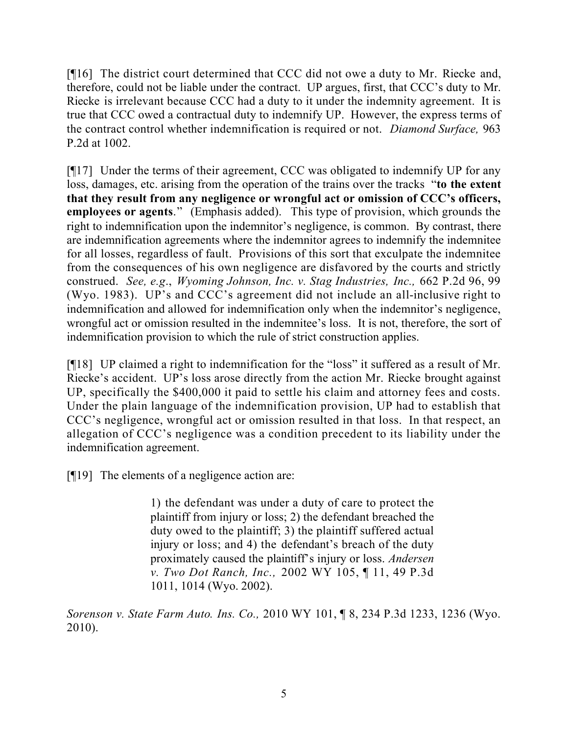[¶16] The district court determined that CCC did not owe a duty to Mr. Riecke and, therefore, could not be liable under the contract. UP argues, first, that CCC's duty to Mr. Riecke is irrelevant because CCC had a duty to it under the indemnity agreement. It is true that CCC owed a contractual duty to indemnify UP. However, the express terms of the contract control whether indemnification is required or not. *Diamond Surface,* 963 P.2d at 1002.

[¶17] Under the terms of their agreement, CCC was obligated to indemnify UP for any loss, damages, etc. arising from the operation of the trains over the tracks "**to the extent that they result from any negligence or wrongful act or omission of CCC's officers, employees or agents**." (Emphasis added). This type of provision, which grounds the right to indemnification upon the indemnitor's negligence, is common. By contrast, there are indemnification agreements where the indemnitor agrees to indemnify the indemnitee for all losses, regardless of fault. Provisions of this sort that exculpate the indemnitee from the consequences of his own negligence are disfavored by the courts and strictly construed. *See, e.g*., *Wyoming Johnson, Inc. v. Stag Industries, Inc.,* 662 P.2d 96, 99 (Wyo. 1983). UP's and CCC's agreement did not include an all-inclusive right to indemnification and allowed for indemnification only when the indemnitor's negligence, wrongful act or omission resulted in the indemnitee's loss. It is not, therefore, the sort of indemnification provision to which the rule of strict construction applies.

[¶18] UP claimed a right to indemnification for the "loss" it suffered as a result of Mr. Riecke's accident. UP's loss arose directly from the action Mr. Riecke brought against UP, specifically the \$400,000 it paid to settle his claim and attorney fees and costs. Under the plain language of the indemnification provision, UP had to establish that CCC's negligence, wrongful act or omission resulted in that loss. In that respect, an allegation of CCC's negligence was a condition precedent to its liability under the indemnification agreement.

[¶19] The elements of a negligence action are:

1) the defendant was under a duty of care to protect the plaintiff from injury or loss; 2) the defendant breached the duty owed to the plaintiff; 3) the plaintiff suffered actual injury or loss; and 4) the defendant's breach of the duty proximately caused the plaintiff's injury or loss. *Andersen v. Two Dot Ranch, Inc.,* 2002 WY 105, ¶ 11, 49 P.3d 1011, 1014 (Wyo. 2002).

*Sorenson v. State Farm Auto. Ins. Co.,* 2010 WY 101, ¶ 8, 234 P.3d 1233, 1236 (Wyo. 2010).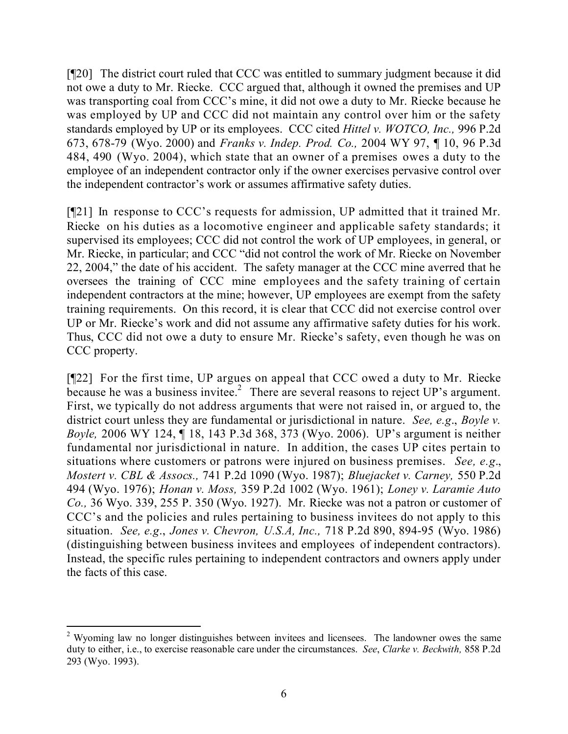[¶20] The district court ruled that CCC was entitled to summary judgment because it did not owe a duty to Mr. Riecke. CCC argued that, although it owned the premises and UP was transporting coal from CCC's mine, it did not owe a duty to Mr. Riecke because he was employed by UP and CCC did not maintain any control over him or the safety standards employed by UP or its employees. CCC cited *Hittel v. WOTCO, Inc.,* 996 P.2d 673, 678-79 (Wyo. 2000) and *Franks v. Indep. Prod. Co.,* 2004 WY 97, ¶ 10, 96 P.3d 484, 490 (Wyo. 2004), which state that an owner of a premises owes a duty to the employee of an independent contractor only if the owner exercises pervasive control over the independent contractor's work or assumes affirmative safety duties.

[¶21] In response to CCC's requests for admission, UP admitted that it trained Mr. Riecke on his duties as a locomotive engineer and applicable safety standards; it supervised its employees; CCC did not control the work of UP employees, in general, or Mr. Riecke, in particular; and CCC "did not control the work of Mr. Riecke on November 22, 2004," the date of his accident. The safety manager at the CCC mine averred that he oversees the training of CCC mine employees and the safety training of certain independent contractors at the mine; however, UP employees are exempt from the safety training requirements. On this record, it is clear that CCC did not exercise control over UP or Mr. Riecke's work and did not assume any affirmative safety duties for his work. Thus, CCC did not owe a duty to ensure Mr. Riecke's safety, even though he was on CCC property.

[¶22] For the first time, UP argues on appeal that CCC owed a duty to Mr. Riecke because he was a business invitee.<sup>2</sup> There are several reasons to reject UP's argument. First, we typically do not address arguments that were not raised in, or argued to, the district court unless they are fundamental or jurisdictional in nature. *See, e.g*., *Boyle v. Boyle,* 2006 WY 124, ¶ 18, 143 P.3d 368, 373 (Wyo. 2006). UP's argument is neither fundamental nor jurisdictional in nature. In addition, the cases UP cites pertain to situations where customers or patrons were injured on business premises. *See, e.g*., *Mostert v. CBL & Assocs.,* 741 P.2d 1090 (Wyo. 1987); *Bluejacket v. Carney,* 550 P.2d 494 (Wyo. 1976); *Honan v. Moss,* 359 P.2d 1002 (Wyo. 1961); *Loney v. Laramie Auto Co.,* 36 Wyo. 339, 255 P. 350 (Wyo. 1927). Mr. Riecke was not a patron or customer of CCC's and the policies and rules pertaining to business invitees do not apply to this situation. *See, e.g*., *Jones v. Chevron, U.S.A, Inc.,* 718 P.2d 890, 894-95 (Wyo. 1986) (distinguishing between business invitees and employees of independent contractors). Instead, the specific rules pertaining to independent contractors and owners apply under the facts of this case.

<sup>&</sup>lt;sup>2</sup> Wyoming law no longer distinguishes between invitees and licensees. The landowner owes the same duty to either, i.e., to exercise reasonable care under the circumstances. *See*, *Clarke v. Beckwith,* 858 P.2d 293 (Wyo. 1993).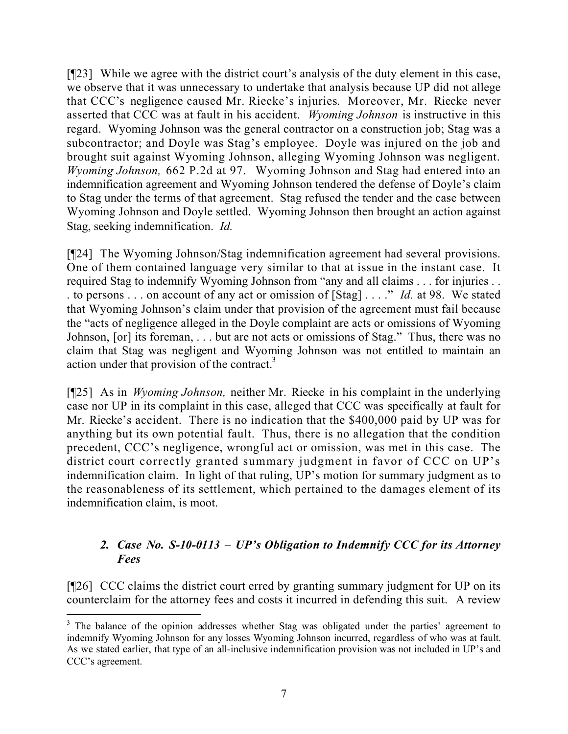[¶23] While we agree with the district court's analysis of the duty element in this case, we observe that it was unnecessary to undertake that analysis because UP did not allege that CCC's negligence caused Mr. Riecke's injuries. Moreover, Mr. Riecke never asserted that CCC was at fault in his accident. *Wyoming Johnson* is instructive in this regard. Wyoming Johnson was the general contractor on a construction job; Stag was a subcontractor; and Doyle was Stag's employee. Doyle was injured on the job and brought suit against Wyoming Johnson, alleging Wyoming Johnson was negligent. *Wyoming Johnson,* 662 P.2d at 97. Wyoming Johnson and Stag had entered into an indemnification agreement and Wyoming Johnson tendered the defense of Doyle's claim to Stag under the terms of that agreement. Stag refused the tender and the case between Wyoming Johnson and Doyle settled. Wyoming Johnson then brought an action against Stag, seeking indemnification. *Id.* 

[¶24] The Wyoming Johnson/Stag indemnification agreement had several provisions. One of them contained language very similar to that at issue in the instant case. It required Stag to indemnify Wyoming Johnson from "any and all claims . . . for injuries . . . to persons . . . on account of any act or omission of [Stag] . . . ." *Id.* at 98. We stated that Wyoming Johnson's claim under that provision of the agreement must fail because the "acts of negligence alleged in the Doyle complaint are acts or omissions of Wyoming Johnson, [or] its foreman, . . . but are not acts or omissions of Stag." Thus, there was no claim that Stag was negligent and Wyoming Johnson was not entitled to maintain an action under that provision of the contract. $3$ 

[¶25] As in *Wyoming Johnson,* neither Mr. Riecke in his complaint in the underlying case nor UP in its complaint in this case, alleged that CCC was specifically at fault for Mr. Riecke's accident. There is no indication that the \$400,000 paid by UP was for anything but its own potential fault. Thus, there is no allegation that the condition precedent, CCC's negligence, wrongful act or omission, was met in this case. The district court correctly granted summary judgment in favor of CCC on UP's indemnification claim. In light of that ruling, UP's motion for summary judgment as to the reasonableness of its settlement, which pertained to the damages element of its indemnification claim, is moot.

## *2. Case No. S-10-0113 – UP's Obligation to Indemnify CCC for its Attorney Fees*

[¶26] CCC claims the district court erred by granting summary judgment for UP on its counterclaim for the attorney fees and costs it incurred in defending this suit. A review

 $\overline{a}$ 

 $3$  The balance of the opinion addresses whether Stag was obligated under the parties' agreement to indemnify Wyoming Johnson for any losses Wyoming Johnson incurred, regardless of who was at fault. As we stated earlier, that type of an all-inclusive indemnification provision was not included in UP's and CCC's agreement.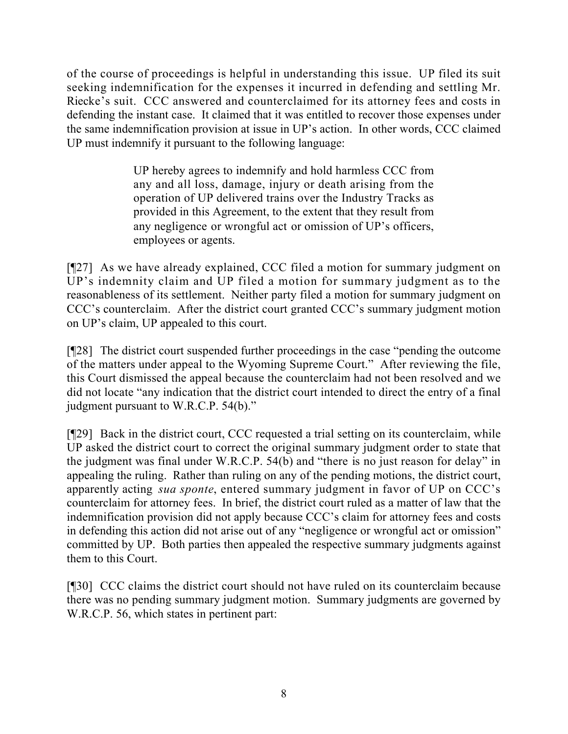of the course of proceedings is helpful in understanding this issue. UP filed its suit seeking indemnification for the expenses it incurred in defending and settling Mr. Riecke's suit. CCC answered and counterclaimed for its attorney fees and costs in defending the instant case. It claimed that it was entitled to recover those expenses under the same indemnification provision at issue in UP's action. In other words, CCC claimed UP must indemnify it pursuant to the following language:

> UP hereby agrees to indemnify and hold harmless CCC from any and all loss, damage, injury or death arising from the operation of UP delivered trains over the Industry Tracks as provided in this Agreement, to the extent that they result from any negligence or wrongful act or omission of UP's officers, employees or agents.

[¶27] As we have already explained, CCC filed a motion for summary judgment on UP's indemnity claim and UP filed a motion for summary judgment as to the reasonableness of its settlement. Neither party filed a motion for summary judgment on CCC's counterclaim. After the district court granted CCC's summary judgment motion on UP's claim, UP appealed to this court.

[¶28] The district court suspended further proceedings in the case "pending the outcome of the matters under appeal to the Wyoming Supreme Court." After reviewing the file, this Court dismissed the appeal because the counterclaim had not been resolved and we did not locate "any indication that the district court intended to direct the entry of a final judgment pursuant to W.R.C.P. 54(b)."

[¶29] Back in the district court, CCC requested a trial setting on its counterclaim, while UP asked the district court to correct the original summary judgment order to state that the judgment was final under W.R.C.P. 54(b) and "there is no just reason for delay" in appealing the ruling. Rather than ruling on any of the pending motions, the district court, apparently acting *sua sponte*, entered summary judgment in favor of UP on CCC's counterclaim for attorney fees. In brief, the district court ruled as a matter of law that the indemnification provision did not apply because CCC's claim for attorney fees and costs in defending this action did not arise out of any "negligence or wrongful act or omission" committed by UP. Both parties then appealed the respective summary judgments against them to this Court.

[¶30] CCC claims the district court should not have ruled on its counterclaim because there was no pending summary judgment motion. Summary judgments are governed by W.R.C.P. 56, which states in pertinent part: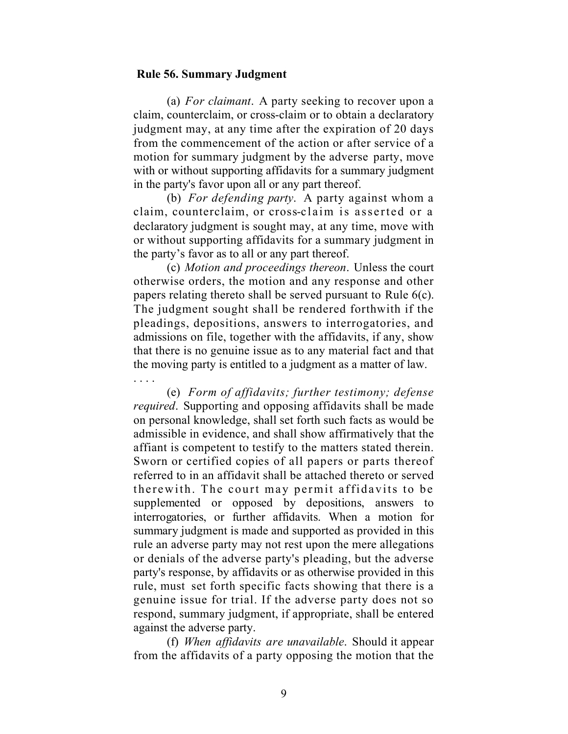#### **Rule 56. Summary Judgment**

(a) *For claimant*. A party seeking to recover upon a claim, counterclaim, or cross-claim or to obtain a declaratory judgment may, at any time after the expiration of 20 days from the commencement of the action or after service of a motion for summary judgment by the adverse party, move with or without supporting affidavits for a summary judgment in the party's favor upon all or any part thereof.

(b) *For defending party*. A party against whom a claim, counterclaim, or cross-claim is asserted or a declaratory judgment is sought may, at any time, move with or without supporting affidavits for a summary judgment in the party's favor as to all or any part thereof.

(c) *Motion and proceedings thereon*. Unless the court otherwise orders, the motion and any response and other papers relating thereto shall be served pursuant to Rule 6(c). The judgment sought shall be rendered forthwith if the pleadings, depositions, answers to interrogatories, and admissions on file, together with the affidavits, if any, show that there is no genuine issue as to any material fact and that the moving party is entitled to a judgment as a matter of law. . . . .

(e) *Form of affidavits; further testimony; defense required*. Supporting and opposing affidavits shall be made on personal knowledge, shall set forth such facts as would be admissible in evidence, and shall show affirmatively that the affiant is competent to testify to the matters stated therein. Sworn or certified copies of all papers or parts thereof referred to in an affidavit shall be attached thereto or served therewith. The court may permit affidavits to be supplemented or opposed by depositions, answers to interrogatories, or further affidavits. When a motion for summary judgment is made and supported as provided in this rule an adverse party may not rest upon the mere allegations or denials of the adverse party's pleading, but the adverse party's response, by affidavits or as otherwise provided in this rule, must set forth specific facts showing that there is a genuine issue for trial. If the adverse party does not so respond, summary judgment, if appropriate, shall be entered against the adverse party.

(f) *When affidavits are unavailable*. Should it appear from the affidavits of a party opposing the motion that the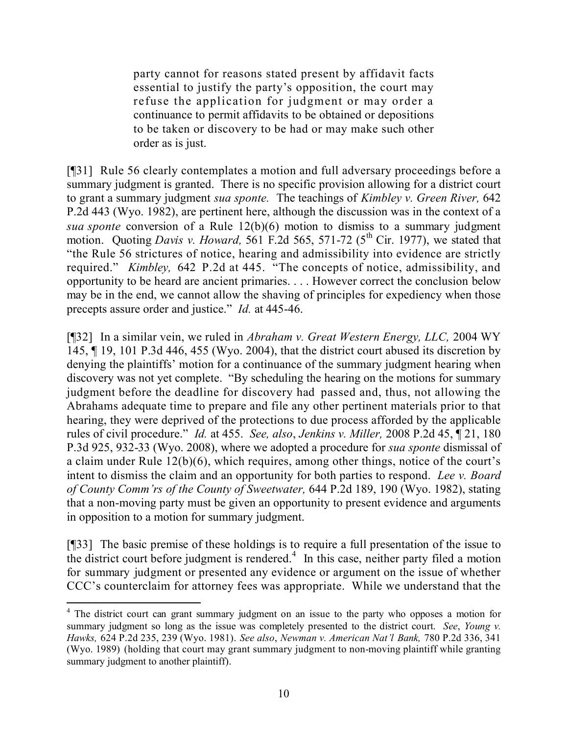party cannot for reasons stated present by affidavit facts essential to justify the party's opposition, the court may refuse the application for judgment or may order a continuance to permit affidavits to be obtained or depositions to be taken or discovery to be had or may make such other order as is just.

[¶31] Rule 56 clearly contemplates a motion and full adversary proceedings before a summary judgment is granted. There is no specific provision allowing for a district court to grant a summary judgment *sua sponte.* The teachings of *Kimbley v. Green River,* 642 P.2d 443 (Wyo. 1982), are pertinent here, although the discussion was in the context of a *sua sponte* conversion of a Rule 12(b)(6) motion to dismiss to a summary judgment motion. Quoting *Davis v. Howard*, 561 F.2d 565, 571-72 (5<sup>th</sup> Cir. 1977), we stated that "the Rule 56 strictures of notice, hearing and admissibility into evidence are strictly required." *Kimbley,* 642 P.2d at 445. "The concepts of notice, admissibility, and opportunity to be heard are ancient primaries. . . . However correct the conclusion below may be in the end, we cannot allow the shaving of principles for expediency when those precepts assure order and justice." *Id.* at 445-46.

[¶32] In a similar vein, we ruled in *Abraham v. Great Western Energy, LLC,* 2004 WY 145, ¶ 19, 101 P.3d 446, 455 (Wyo. 2004), that the district court abused its discretion by denying the plaintiffs' motion for a continuance of the summary judgment hearing when discovery was not yet complete. "By scheduling the hearing on the motions for summary judgment before the deadline for discovery had passed and, thus, not allowing the Abrahams adequate time to prepare and file any other pertinent materials prior to that hearing, they were deprived of the protections to due process afforded by the applicable rules of civil procedure." *Id.* at 455. *See, also*, *Jenkins v. Miller,* 2008 P.2d 45, ¶ 21, 180 P.3d 925, 932-33 (Wyo. 2008), where we adopted a procedure for *sua sponte* dismissal of a claim under Rule 12(b)(6), which requires, among other things, notice of the court's intent to dismiss the claim and an opportunity for both parties to respond. *Lee v. Board of County Comm'rs of the County of Sweetwater,* 644 P.2d 189, 190 (Wyo. 1982), stating that a non-moving party must be given an opportunity to present evidence and arguments in opposition to a motion for summary judgment.

[¶33] The basic premise of these holdings is to require a full presentation of the issue to the district court before judgment is rendered.<sup>4</sup> In this case, neither party filed a motion for summary judgment or presented any evidence or argument on the issue of whether CCC's counterclaim for attorney fees was appropriate. While we understand that the

 $\overline{a}$ 

<sup>&</sup>lt;sup>4</sup> The district court can grant summary judgment on an issue to the party who opposes a motion for summary judgment so long as the issue was completely presented to the district court. *See*, *Young v. Hawks,* 624 P.2d 235, 239 (Wyo. 1981). *See also*, *Newman v. American Nat'l Bank,* 780 P.2d 336, 341 (Wyo. 1989) (holding that court may grant summary judgment to non-moving plaintiff while granting summary judgment to another plaintiff).